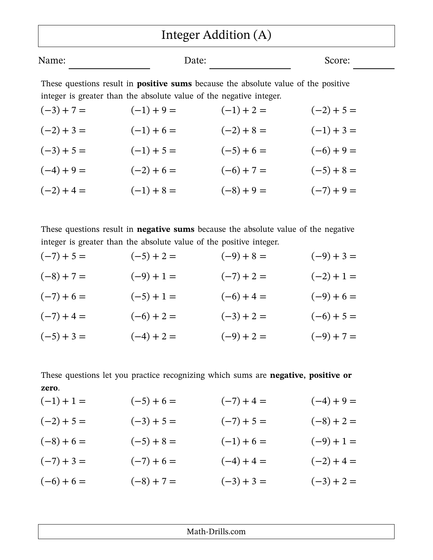## Integer Addition (A)

| Name: | Date: | Score: |
|-------|-------|--------|
|       |       |        |

These questions result in **positive sums** because the absolute value of the positive integer is greater than the absolute value of the negative integer.

| $(-3) + 7 =$ | $(-1) + 9 =$ | $(-1) + 2 =$ | $(-2) + 5 =$ |
|--------------|--------------|--------------|--------------|
| $(-2) + 3 =$ | $(-1) + 6 =$ | $(-2) + 8 =$ | $(-1) + 3 =$ |
| $(-3) + 5 =$ | $(-1) + 5 =$ | $(-5) + 6 =$ | $(-6) + 9 =$ |
| $(-4) + 9 =$ | $(-2) + 6 =$ | $(-6) + 7 =$ | $(-5) + 8 =$ |
| $(-2) + 4 =$ | $(-1) + 8 =$ | $(-8) + 9 =$ | $(-7) + 9 =$ |

These questions result in **negative sums** because the absolute value of the negative integer is greater than the absolute value of the positive integer.

| $(-7) + 5 =$ | $(-5) + 2 =$ | $(-9) + 8 =$ | $(-9) + 3 =$ |
|--------------|--------------|--------------|--------------|
| $(-8) + 7 =$ | $(-9) + 1 =$ | $(-7) + 2 =$ | $(-2) + 1 =$ |
| $(-7) + 6 =$ | $(-5) + 1 =$ | $(-6) + 4 =$ | $(-9) + 6 =$ |
| $(-7) + 4 =$ | $(-6) + 2 =$ | $(-3) + 2 =$ | $(-6) + 5 =$ |
| $(-5) + 3 =$ | $(-4) + 2 =$ | $(-9) + 2 =$ | $(-9) + 7 =$ |

These questions let you practice recognizing which sums are **negative, positive or zero**.

| $(-1) + 1 =$ | $(-5) + 6 =$ | $(-7) + 4 =$ | $(-4) + 9 =$ |
|--------------|--------------|--------------|--------------|
| $(-2) + 5 =$ | $(-3) + 5 =$ | $(-7) + 5 =$ | $(-8) + 2 =$ |
| $(-8) + 6 =$ | $(-5) + 8 =$ | $(-1) + 6 =$ | $(-9) + 1 =$ |
| $(-7) + 3 =$ | $(-7) + 6 =$ | $(-4) + 4 =$ | $(-2) + 4 =$ |
| $(-6) + 6 =$ | $(-8) + 7 =$ | $(-3) + 3 =$ | $(-3) + 2 =$ |